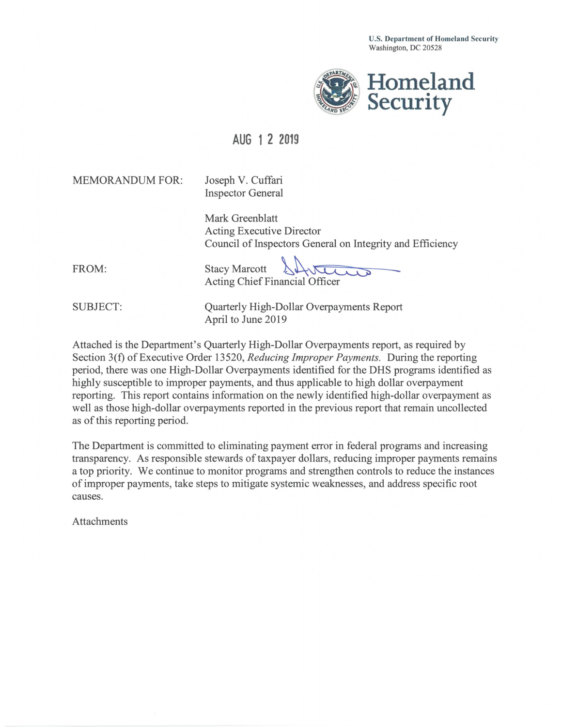U.S. Department of Homeland Security Washington, DC 20528



## **AUG 1 2 2019**

MEMORANDUM FOR: Joseph V. Cuffari

Inspector General

Mark Greenblatt Acting Executive Director Council of Inspectors General on Integrity and Efficiency

FROM:

Acting Chief Financial Officer **Stacy Marcott** 

SUBJECT: Quarterly High-Dollar Overpayments Report April to June 2019

Attached is the Department's Quarterly High-Dollar Overpayments report, as required by Section 3(f) of Executive Order 13520, *Reducing Improper Payments.* During the reporting period, there was one High-Dollar Overpayments identified for the DHS programs identified as highly susceptible to improper payments, and thus applicable to high dollar overpayment reporting. This report contains information on the newly identified high-dollar overpayment as well as those high-dollar overpayments reported in the previous report that remain uncollected as of this reporting period.

The Department is committed to eliminating payment error in federal programs and increasing transparency. As responsible stewards of taxpayer dollars, reducing improper payments remains a top priority. We continue to monitor programs and strengthen controls to reduce the instances of improper payments, take steps to mitigate systemic weaknesses, and address specific root causes.

Attachments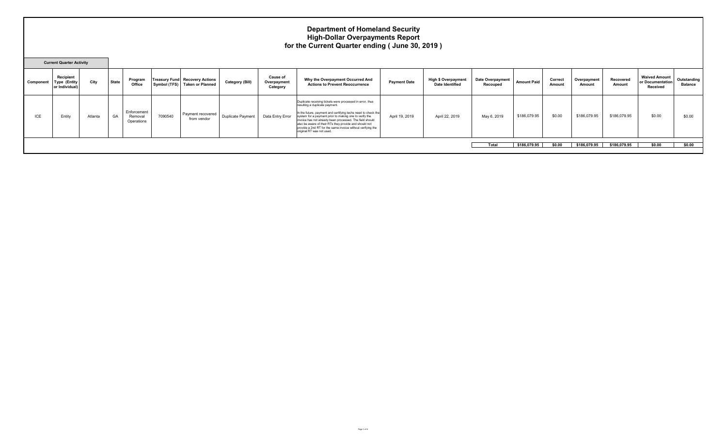## **Department of Homeland Security High-Dollar Overpayments Report for the Current Quarter ending ( June 30, 2019 )**

|           | <b>Current Quarter Activity</b>             |         |              |                                      |         |                                                                        |                        |                                            |                                                                                                                                                                                                                                                                                                                                                                                                                                          |                     |                                                      |                                     |                    |                   |                       |                     |                                                      |                               |
|-----------|---------------------------------------------|---------|--------------|--------------------------------------|---------|------------------------------------------------------------------------|------------------------|--------------------------------------------|------------------------------------------------------------------------------------------------------------------------------------------------------------------------------------------------------------------------------------------------------------------------------------------------------------------------------------------------------------------------------------------------------------------------------------------|---------------------|------------------------------------------------------|-------------------------------------|--------------------|-------------------|-----------------------|---------------------|------------------------------------------------------|-------------------------------|
| Component | Recipient<br>Type (Entity<br>or Individual) | City    | <b>State</b> | Program<br>Office                    |         | <b>Treasury Fund Recovery Actions</b><br>Symbol (TFS) Taken or Planned | <b>Category (Bill)</b> | <b>Cause of</b><br>Overpayment<br>Category | Why the Overpayment Occurred And<br><b>Actions to Prevent Reoccurrence</b>                                                                                                                                                                                                                                                                                                                                                               | <b>Payment Date</b> | <b>High \$ Overpayment</b><br><b>Date Identified</b> | <b>Date Overpayment</b><br>Recouped | <b>Amount Paid</b> | Correct<br>Amount | Overpayment<br>Amount | Recovered<br>Amount | <b>Waived Amount</b><br>or Documentation<br>Received | Outstanding<br><b>Balance</b> |
| ICE       | Entity                                      | Atlanta | GA           | Enforcement<br>Removal<br>Operations | 7090540 | Payment recovered<br>from vendor                                       | Duplicate Payment      | Data Entry Error                           | Duplicate receiving tickets were processed in error, thus<br>resulting a duplicate payment.<br>In the future, payment and certifying techs need to check the<br>system for a payment prior to making one to verify the<br>invoice has not already been processed. The field should<br>also be aware of their RTs they provide and should not<br>provide a 2nd RT for the same invoice without verifying the<br>original RT was not used. | April 19, 2019      | April 22, 2019                                       | May 6, 2019                         | \$186,079.95       | \$0.00            | \$186,079.95          | \$186,079.95        | \$0.00                                               | \$0.00                        |
|           |                                             |         |              |                                      |         |                                                                        |                        |                                            |                                                                                                                                                                                                                                                                                                                                                                                                                                          |                     |                                                      | Total                               | \$186,079.95       | \$0.00            | \$186,079.95          | \$186,079.95        | \$0.00                                               | \$0.00                        |
|           |                                             |         |              |                                      |         |                                                                        |                        |                                            |                                                                                                                                                                                                                                                                                                                                                                                                                                          |                     |                                                      |                                     |                    |                   |                       |                     |                                                      |                               |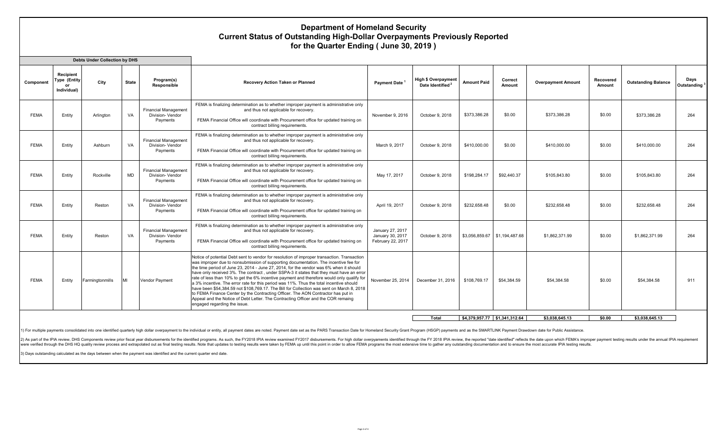## **Department of Homeland Security Current Status of Outstanding High-Dollar Overpayments Previously Reported for the Quarter Ending ( June 30, 2019 )**

|             |                                                       | <b>Debts Under Collection by DHS</b> |              |                                                             |                                                                                                                                                                                                                                                                                                                                                                                                                                                                                                                                                                                                                                                                                                                                                                                                                                                                          |                                                           |                                                            |                    |                               |                           |                     |                            |                     |
|-------------|-------------------------------------------------------|--------------------------------------|--------------|-------------------------------------------------------------|--------------------------------------------------------------------------------------------------------------------------------------------------------------------------------------------------------------------------------------------------------------------------------------------------------------------------------------------------------------------------------------------------------------------------------------------------------------------------------------------------------------------------------------------------------------------------------------------------------------------------------------------------------------------------------------------------------------------------------------------------------------------------------------------------------------------------------------------------------------------------|-----------------------------------------------------------|------------------------------------------------------------|--------------------|-------------------------------|---------------------------|---------------------|----------------------------|---------------------|
| Component   | Recipient<br><b>Type (Entity</b><br>or<br>Individual) | City                                 | <b>State</b> | Program(s)<br><b>Responsible</b>                            | <b>Recovery Action Taken or Planned</b>                                                                                                                                                                                                                                                                                                                                                                                                                                                                                                                                                                                                                                                                                                                                                                                                                                  | <b>Payment Date</b>                                       | <b>High \$ Overpayment</b><br>Date Identified <sup>2</sup> | <b>Amount Paid</b> | Correct<br>Amount             | <b>Overpayment Amount</b> | Recovered<br>Amount | <b>Outstanding Balance</b> | Days<br>Outstanding |
| <b>FEMA</b> | Entity                                                | Arlinaton                            | VA           | <b>Financial Management</b><br>Division- Vendor<br>Payments | FEMA is finalizing determination as to whether improper payment is administrative only<br>and thus not applicable for recovery.<br>FEMA Financial Office will coordinate with Procurement office for updated training on<br>contract billing requirements.                                                                                                                                                                                                                                                                                                                                                                                                                                                                                                                                                                                                               | November 9, 2016                                          | October 9, 2018                                            | \$373,386.28       | \$0.00                        | \$373.386.28              | \$0.00              | \$373,386.28               | 264                 |
| <b>FEMA</b> | Entity                                                | Ashburn                              | VA           | <b>Financial Management</b><br>Division- Vendor<br>Payments | FEMA is finalizing determination as to whether improper payment is administrative only<br>and thus not applicable for recovery.<br>FEMA Financial Office will coordinate with Procurement office for updated training on<br>contract billing requirements.                                                                                                                                                                                                                                                                                                                                                                                                                                                                                                                                                                                                               | March 9, 2017                                             | October 9, 2018                                            | \$410,000,00       | \$0.00                        | \$410,000,00              | \$0.00              | \$410,000,00               | 264                 |
| <b>FEMA</b> | Entity                                                | Rockville                            | <b>MD</b>    | <b>Financial Management</b><br>Division- Vendor<br>Payments | FEMA is finalizing determination as to whether improper payment is administrative only<br>and thus not applicable for recovery.<br>FEMA Financial Office will coordinate with Procurement office for updated training on<br>contract billing requirements.                                                                                                                                                                                                                                                                                                                                                                                                                                                                                                                                                                                                               | May 17, 2017                                              | October 9, 2018                                            | \$198,284.17       | \$92,440.37                   | \$105,843,80              | \$0.00              | \$105.843.80               | 264                 |
| <b>FEMA</b> | Entity                                                | Reston                               | VA           | <b>Financial Management</b><br>Division- Vendor<br>Payments | FEMA is finalizing determination as to whether improper payment is administrative only<br>and thus not applicable for recovery.<br>FEMA Financial Office will coordinate with Procurement office for updated training on<br>contract billing requirements.                                                                                                                                                                                                                                                                                                                                                                                                                                                                                                                                                                                                               | April 19, 2017                                            | October 9, 2018                                            | \$232.658.48       | \$0.00                        | \$232,658.48              | \$0.00              | \$232.658.48               | 264                 |
| <b>FEMA</b> | Entity                                                | Reston                               | VA           | <b>Financial Management</b><br>Division- Vendor<br>Payments | FEMA is finalizing determination as to whether improper payment is administrative only<br>and thus not applicable for recovery.<br>FEMA Financial Office will coordinate with Procurement office for updated training on<br>contract billing requirements.                                                                                                                                                                                                                                                                                                                                                                                                                                                                                                                                                                                                               | January 27, 2017<br>January 30, 2017<br>February 22, 2017 | October 9, 2018                                            |                    | \$3,056,859.67 \$1,194,487.68 | \$1,862,371.99            | \$0.00              | \$1,862,371.99             | 264                 |
| <b>FEMA</b> | Entity                                                | Farmingtonmills                      | MI           | Vendor Payment                                              | Notice of potential Debt sent to vendor for resolution of improper transaction. Transaction<br>was improper due to nonsubmission of supporting documentation. The incentive fee for<br>the time period of June 23, 2014 - June 27, 2014, for the vendor was 6% when it should<br>have only received 3%. The contract, under SSPA-3 it states that they must have an error<br>rate of less than 10% to get the 6% incentive payment and therefore would only qualify for<br>a 3% incentive. The error rate for this period was 11%. Thus the total incentive should<br>have been \$54,384,59 not \$108,769,17. The Bill for Collection was sent on March 8, 2018<br>to FEMA Finance Center by the Contracting Officer. The AON Contractor has put in<br>Appeal and the Notice of Debt Letter. The Contracting Officer and the COR remaing<br>engaged regarding the issue. | November 25, 2014                                         | December 31, 2016                                          | \$108,769.17       | \$54,384.59                   | \$54,384.58               | \$0.00              | \$54.384.58                | 911                 |
|             |                                                       |                                      |              |                                                             |                                                                                                                                                                                                                                                                                                                                                                                                                                                                                                                                                                                                                                                                                                                                                                                                                                                                          |                                                           | Total                                                      |                    | \$4.379.957.77 \$1.341.312.64 | \$3.038.645.13            | \$0.00              | \$3.038.645.13             |                     |

1) For multiple payments consolidated into one identified quarterly high dollar overpayment to the individual or entity, all payment dates are noted. Payment dates ere noted. Payment date set as the PARS Transaction Date f

2) As part of the IPIA review, DHS Components review prior fiscal year disbursements for the identified programs. As such, the FY2018 IPIA review examined FY2017 disbursements. For high dollar overpyaments identified throu were verified through the DHS HQ quality review process and extrapolated out as final testing results. Note that updates to testing results were taken by FEMA up until this point in order to allow FEMA programs the most ex

3) Days outstanding calculated as the days between when the payment was identified and the current quarter end date.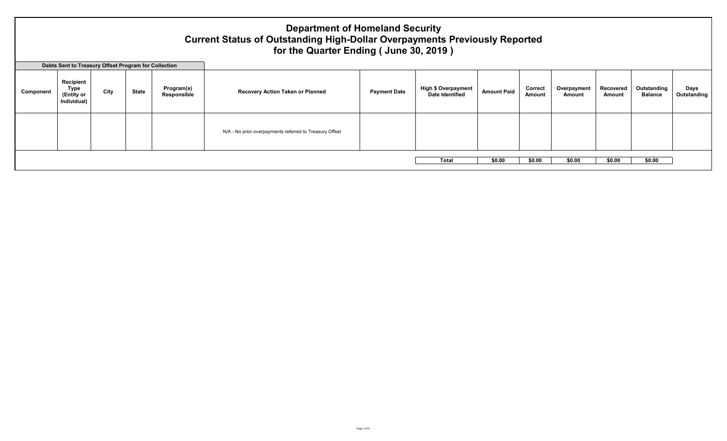## **Department of Homeland Security Current Status of Outstanding High-Dollar Overpayments Previously Reported for the Quarter Ending ( June 30, 2019 )**

|           | Debts Sent to Treasury Offset Program for Collection |      |       |                           |                                                         |                     |                                                      |                    |                   |                       |                     |                               |                     |
|-----------|------------------------------------------------------|------|-------|---------------------------|---------------------------------------------------------|---------------------|------------------------------------------------------|--------------------|-------------------|-----------------------|---------------------|-------------------------------|---------------------|
| Component | Recipient<br>Type<br>(Entity or<br>Individual)       | City | State | Program(s)<br>Responsible | <b>Recovery Action Taken or Planned</b>                 | <b>Payment Date</b> | <b>High \$ Overpayment</b><br><b>Date Identified</b> | <b>Amount Paid</b> | Correct<br>Amount | Overpayment<br>Amount | Recovered<br>Amount | Outstanding<br><b>Balance</b> | Days<br>Outstanding |
|           |                                                      |      |       |                           | N/A - No prior overpayments referred to Treasury Offset |                     |                                                      |                    |                   |                       |                     |                               |                     |
|           |                                                      |      |       |                           |                                                         |                     | <b>Total</b>                                         | \$0.00             | \$0.00            | \$0.00                | \$0.00              | \$0.00                        |                     |